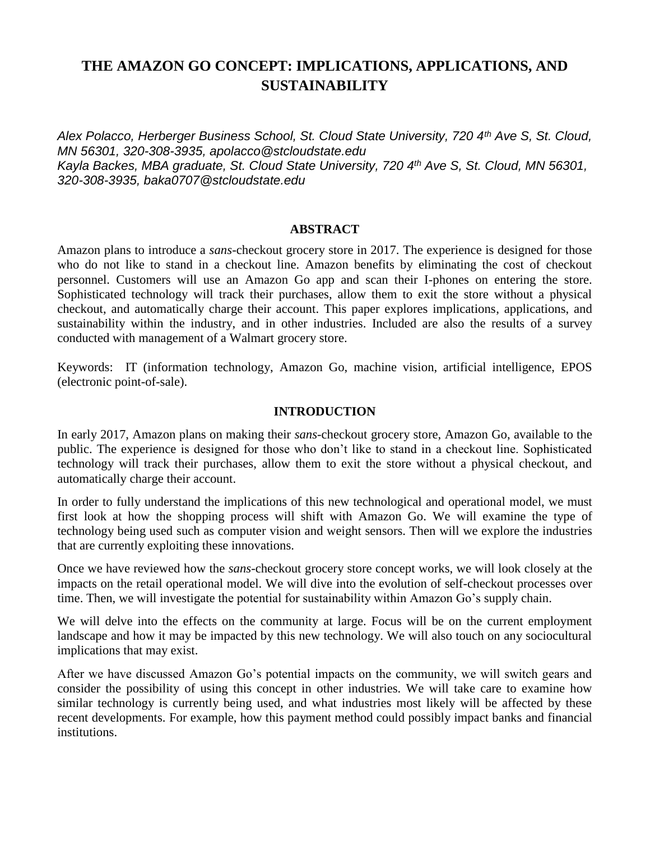# **THE AMAZON GO CONCEPT: IMPLICATIONS, APPLICATIONS, AND SUSTAINABILITY**

*Alex Polacco, Herberger Business School, St. Cloud State University, 720 4th Ave S, St. Cloud, MN 56301, 320-308-3935, apolacco@stcloudstate.edu Kayla Backes, MBA graduate, St. Cloud State University, 720 4th Ave S, St. Cloud, MN 56301, 320-308-3935, baka0707@stcloudstate.edu*

#### **ABSTRACT**

Amazon plans to introduce a *sans*-checkout grocery store in 2017. The experience is designed for those who do not like to stand in a checkout line. Amazon benefits by eliminating the cost of checkout personnel. Customers will use an Amazon Go app and scan their I-phones on entering the store. Sophisticated technology will track their purchases, allow them to exit the store without a physical checkout, and automatically charge their account. This paper explores implications, applications, and sustainability within the industry, and in other industries. Included are also the results of a survey conducted with management of a Walmart grocery store.

Keywords: IT (information technology, Amazon Go, machine vision, artificial intelligence, EPOS (electronic point-of-sale).

#### **INTRODUCTION**

In early 2017, Amazon plans on making their *sans-*checkout grocery store, Amazon Go, available to the public. The experience is designed for those who don't like to stand in a checkout line. Sophisticated technology will track their purchases, allow them to exit the store without a physical checkout, and automatically charge their account.

In order to fully understand the implications of this new technological and operational model, we must first look at how the shopping process will shift with Amazon Go. We will examine the type of technology being used such as computer vision and weight sensors. Then will we explore the industries that are currently exploiting these innovations.

Once we have reviewed how the *sans*-checkout grocery store concept works, we will look closely at the impacts on the retail operational model. We will dive into the evolution of self-checkout processes over time. Then, we will investigate the potential for sustainability within Amazon Go's supply chain.

We will delve into the effects on the community at large. Focus will be on the current employment landscape and how it may be impacted by this new technology. We will also touch on any sociocultural implications that may exist.

After we have discussed Amazon Go's potential impacts on the community, we will switch gears and consider the possibility of using this concept in other industries. We will take care to examine how similar technology is currently being used, and what industries most likely will be affected by these recent developments. For example, how this payment method could possibly impact banks and financial institutions.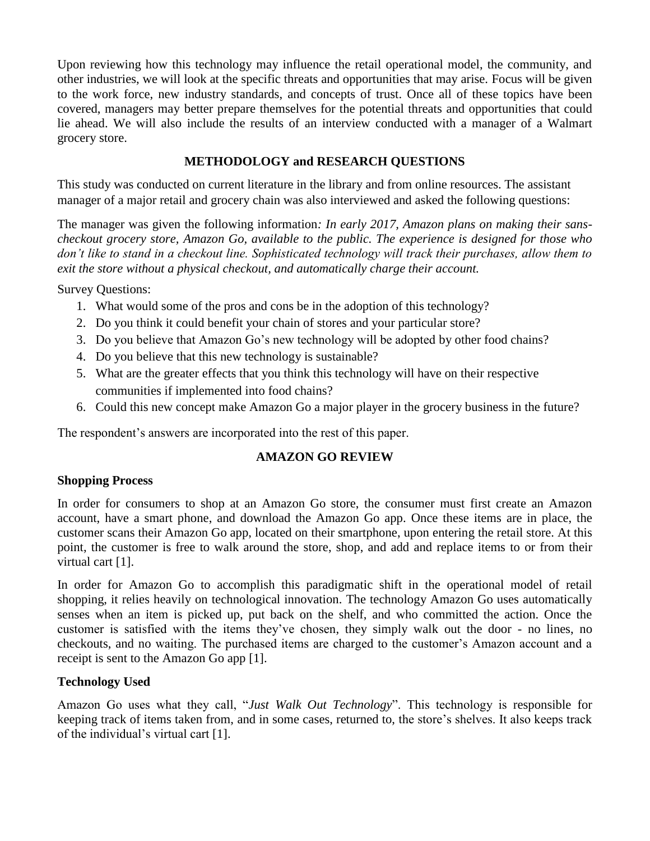Upon reviewing how this technology may influence the retail operational model, the community, and other industries, we will look at the specific threats and opportunities that may arise. Focus will be given to the work force, new industry standards, and concepts of trust. Once all of these topics have been covered, managers may better prepare themselves for the potential threats and opportunities that could lie ahead. We will also include the results of an interview conducted with a manager of a Walmart grocery store.

## **METHODOLOGY and RESEARCH QUESTIONS**

This study was conducted on current literature in the library and from online resources. The assistant manager of a major retail and grocery chain was also interviewed and asked the following questions:

The manager was given the following information*: In early 2017, Amazon plans on making their sanscheckout grocery store, Amazon Go, available to the public. The experience is designed for those who don't like to stand in a checkout line. Sophisticated technology will track their purchases, allow them to exit the store without a physical checkout, and automatically charge their account.* 

Survey Questions:

- 1. What would some of the pros and cons be in the adoption of this technology?
- 2. Do you think it could benefit your chain of stores and your particular store?
- 3. Do you believe that Amazon Go's new technology will be adopted by other food chains?
- 4. Do you believe that this new technology is sustainable?
- 5. What are the greater effects that you think this technology will have on their respective communities if implemented into food chains?
- 6. Could this new concept make Amazon Go a major player in the grocery business in the future?

The respondent's answers are incorporated into the rest of this paper.

# **AMAZON GO REVIEW**

## **Shopping Process**

In order for consumers to shop at an Amazon Go store, the consumer must first create an Amazon account, have a smart phone, and download the Amazon Go app. Once these items are in place, the customer scans their Amazon Go app, located on their smartphone, upon entering the retail store. At this point, the customer is free to walk around the store, shop, and add and replace items to or from their virtual cart [1].

In order for Amazon Go to accomplish this paradigmatic shift in the operational model of retail shopping, it relies heavily on technological innovation. The technology Amazon Go uses automatically senses when an item is picked up, put back on the shelf, and who committed the action. Once the customer is satisfied with the items they've chosen, they simply walk out the door - no lines, no checkouts, and no waiting. The purchased items are charged to the customer's Amazon account and a receipt is sent to the Amazon Go app [1].

## **Technology Used**

Amazon Go uses what they call, "*Just Walk Out Technology*". This technology is responsible for keeping track of items taken from, and in some cases, returned to, the store's shelves. It also keeps track of the individual's virtual cart [1].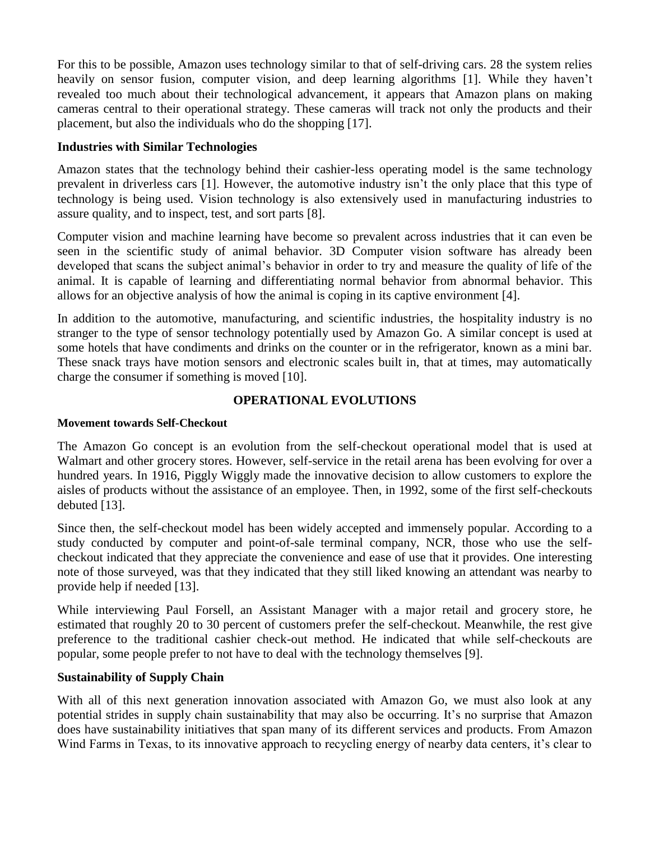For this to be possible, Amazon uses technology similar to that of self-driving cars. 28 the system relies heavily on sensor fusion, computer vision, and deep learning algorithms [1]. While they haven't revealed too much about their technological advancement, it appears that Amazon plans on making cameras central to their operational strategy. These cameras will track not only the products and their placement, but also the individuals who do the shopping [17].

## **Industries with Similar Technologies**

Amazon states that the technology behind their cashier-less operating model is the same technology prevalent in driverless cars [1]. However, the automotive industry isn't the only place that this type of technology is being used. Vision technology is also extensively used in manufacturing industries to assure quality, and to inspect, test, and sort parts [8].

Computer vision and machine learning have become so prevalent across industries that it can even be seen in the scientific study of animal behavior. 3D Computer vision software has already been developed that scans the subject animal's behavior in order to try and measure the quality of life of the animal. It is capable of learning and differentiating normal behavior from abnormal behavior. This allows for an objective analysis of how the animal is coping in its captive environment [4].

In addition to the automotive, manufacturing, and scientific industries, the hospitality industry is no stranger to the type of sensor technology potentially used by Amazon Go. A similar concept is used at some hotels that have condiments and drinks on the counter or in the refrigerator, known as a mini bar. These snack trays have motion sensors and electronic scales built in, that at times, may automatically charge the consumer if something is moved [10].

# **OPERATIONAL EVOLUTIONS**

## **Movement towards Self-Checkout**

The Amazon Go concept is an evolution from the self-checkout operational model that is used at Walmart and other grocery stores. However, self-service in the retail arena has been evolving for over a hundred years. In 1916, Piggly Wiggly made the innovative decision to allow customers to explore the aisles of products without the assistance of an employee. Then, in 1992, some of the first self-checkouts debuted [13].

Since then, the self-checkout model has been widely accepted and immensely popular. According to a study conducted by computer and point-of-sale terminal company, NCR, those who use the selfcheckout indicated that they appreciate the convenience and ease of use that it provides. One interesting note of those surveyed, was that they indicated that they still liked knowing an attendant was nearby to provide help if needed [13].

While interviewing Paul Forsell, an Assistant Manager with a major retail and grocery store, he estimated that roughly 20 to 30 percent of customers prefer the self-checkout. Meanwhile, the rest give preference to the traditional cashier check-out method. He indicated that while self-checkouts are popular, some people prefer to not have to deal with the technology themselves [9].

## **Sustainability of Supply Chain**

With all of this next generation innovation associated with Amazon Go, we must also look at any potential strides in supply chain sustainability that may also be occurring. It's no surprise that Amazon does have sustainability initiatives that span many of its different services and products. From Amazon Wind Farms in Texas, to its innovative approach to recycling energy of nearby data centers, it's clear to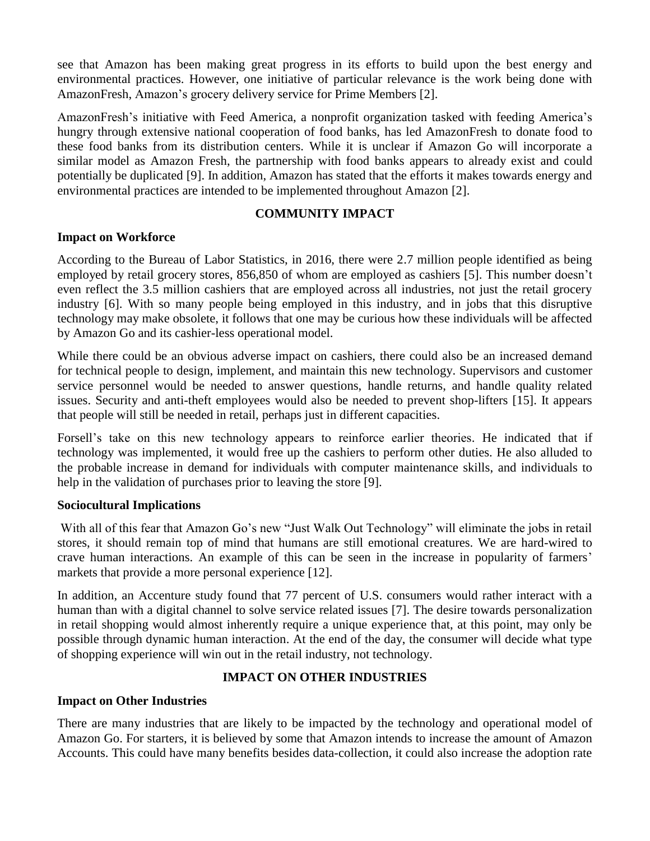see that Amazon has been making great progress in its efforts to build upon the best energy and environmental practices. However, one initiative of particular relevance is the work being done with AmazonFresh, Amazon's grocery delivery service for Prime Members [2].

AmazonFresh's initiative with Feed America, a nonprofit organization tasked with feeding America's hungry through extensive national cooperation of food banks, has led AmazonFresh to donate food to these food banks from its distribution centers. While it is unclear if Amazon Go will incorporate a similar model as Amazon Fresh, the partnership with food banks appears to already exist and could potentially be duplicated [9]. In addition, Amazon has stated that the efforts it makes towards energy and environmental practices are intended to be implemented throughout Amazon [2].

#### **COMMUNITY IMPACT**

#### **Impact on Workforce**

According to the Bureau of Labor Statistics, in 2016, there were 2.7 million people identified as being employed by retail grocery stores, 856,850 of whom are employed as cashiers [5]. This number doesn't even reflect the 3.5 million cashiers that are employed across all industries, not just the retail grocery industry [6]. With so many people being employed in this industry, and in jobs that this disruptive technology may make obsolete, it follows that one may be curious how these individuals will be affected by Amazon Go and its cashier-less operational model.

While there could be an obvious adverse impact on cashiers, there could also be an increased demand for technical people to design, implement, and maintain this new technology. Supervisors and customer service personnel would be needed to answer questions, handle returns, and handle quality related issues. Security and anti-theft employees would also be needed to prevent shop-lifters [15]. It appears that people will still be needed in retail, perhaps just in different capacities.

Forsell's take on this new technology appears to reinforce earlier theories. He indicated that if technology was implemented, it would free up the cashiers to perform other duties. He also alluded to the probable increase in demand for individuals with computer maintenance skills, and individuals to help in the validation of purchases prior to leaving the store [9].

#### **Sociocultural Implications**

With all of this fear that Amazon Go's new "Just Walk Out Technology" will eliminate the jobs in retail stores, it should remain top of mind that humans are still emotional creatures. We are hard-wired to crave human interactions. An example of this can be seen in the increase in popularity of farmers' markets that provide a more personal experience [12].

In addition, an Accenture study found that 77 percent of U.S. consumers would rather interact with a human than with a digital channel to solve service related issues [7]. The desire towards personalization in retail shopping would almost inherently require a unique experience that, at this point, may only be possible through dynamic human interaction. At the end of the day, the consumer will decide what type of shopping experience will win out in the retail industry, not technology.

## **IMPACT ON OTHER INDUSTRIES**

#### **Impact on Other Industries**

There are many industries that are likely to be impacted by the technology and operational model of Amazon Go. For starters, it is believed by some that Amazon intends to increase the amount of Amazon Accounts. This could have many benefits besides data-collection, it could also increase the adoption rate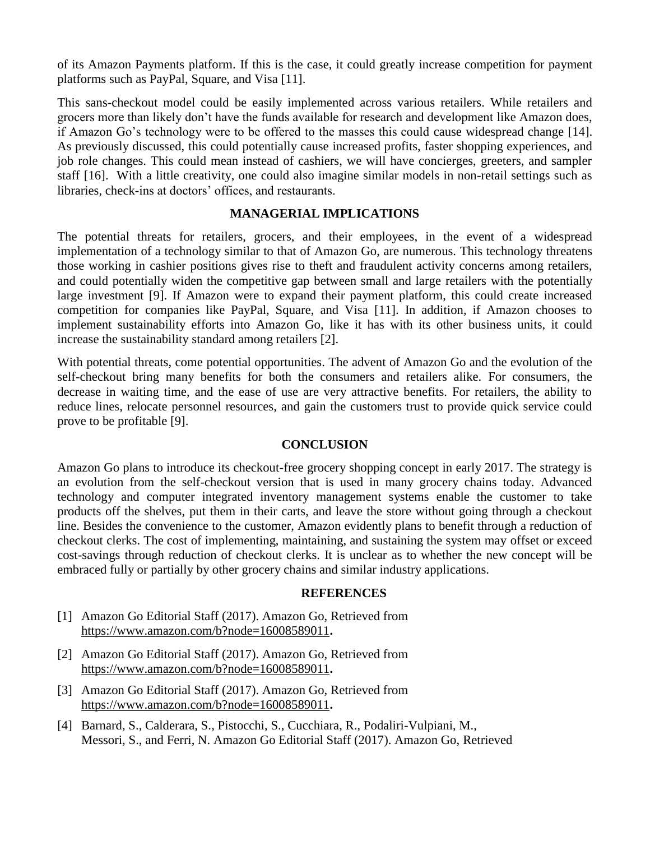of its Amazon Payments platform. If this is the case, it could greatly increase competition for payment platforms such as PayPal, Square, and Visa [11].

This sans-checkout model could be easily implemented across various retailers. While retailers and grocers more than likely don't have the funds available for research and development like Amazon does, if Amazon Go's technology were to be offered to the masses this could cause widespread change [14]. As previously discussed, this could potentially cause increased profits, faster shopping experiences, and job role changes. This could mean instead of cashiers, we will have concierges, greeters, and sampler staff [16]. With a little creativity, one could also imagine similar models in non-retail settings such as libraries, check-ins at doctors' offices, and restaurants.

#### **MANAGERIAL IMPLICATIONS**

The potential threats for retailers, grocers, and their employees, in the event of a widespread implementation of a technology similar to that of Amazon Go, are numerous. This technology threatens those working in cashier positions gives rise to theft and fraudulent activity concerns among retailers, and could potentially widen the competitive gap between small and large retailers with the potentially large investment [9]. If Amazon were to expand their payment platform, this could create increased competition for companies like PayPal, Square, and Visa [11]. In addition, if Amazon chooses to implement sustainability efforts into Amazon Go, like it has with its other business units, it could increase the sustainability standard among retailers [2].

With potential threats, come potential opportunities. The advent of Amazon Go and the evolution of the self-checkout bring many benefits for both the consumers and retailers alike. For consumers, the decrease in waiting time, and the ease of use are very attractive benefits. For retailers, the ability to reduce lines, relocate personnel resources, and gain the customers trust to provide quick service could prove to be profitable [9].

## **CONCLUSION**

Amazon Go plans to introduce its checkout-free grocery shopping concept in early 2017. The strategy is an evolution from the self-checkout version that is used in many grocery chains today. Advanced technology and computer integrated inventory management systems enable the customer to take products off the shelves, put them in their carts, and leave the store without going through a checkout line. Besides the convenience to the customer, Amazon evidently plans to benefit through a reduction of checkout clerks. The cost of implementing, maintaining, and sustaining the system may offset or exceed cost-savings through reduction of checkout clerks. It is unclear as to whether the new concept will be embraced fully or partially by other grocery chains and similar industry applications.

#### **REFERENCES**

- [1] Amazon Go Editorial Staff (2017). Amazon Go, Retrieved from <https://www.amazon.com/b?node=16008589011>**.**
- [2] Amazon Go Editorial Staff (2017). Amazon Go, Retrieved from <https://www.amazon.com/b?node=16008589011>**.**
- [3] Amazon Go Editorial Staff (2017). Amazon Go, Retrieved from <https://www.amazon.com/b?node=16008589011>**.**
- [4] Barnard, S., Calderara, S., Pistocchi, S., Cucchiara, R., Podaliri-Vulpiani, M., Messori, S., and Ferri, N. Amazon Go Editorial Staff (2017). Amazon Go, Retrieved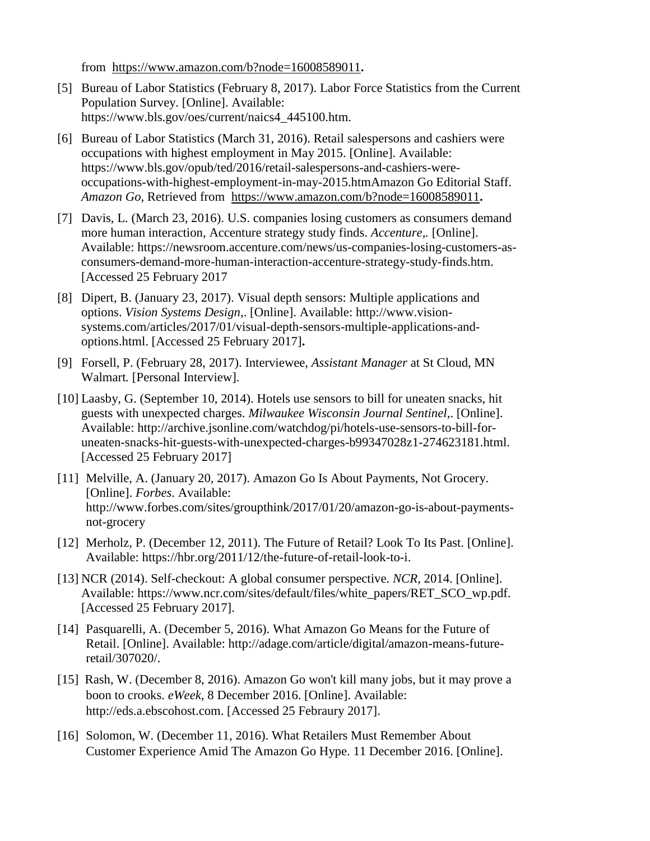from <https://www.amazon.com/b?node=16008589011>**.**

- [5] Bureau of Labor Statistics (February 8, 2017). Labor Force Statistics from the Current Population Survey. [Online]. Available: https://www.bls.gov/oes/current/naics4\_445100.htm.
- [6] Bureau of Labor Statistics (March 31, 2016). Retail salespersons and cashiers were occupations with highest employment in May 2015. [Online]. Available: https://www.bls.gov/opub/ted/2016/retail-salespersons-and-cashiers-wereoccupations-with-highest-employment-in-may-2015.htmAmazon Go Editorial Staff. *Amazon Go,* Retrieved from <https://www.amazon.com/b?node=16008589011>**.**
- [7] Davis, L. (March 23, 2016). U.S. companies losing customers as consumers demand more human interaction, Accenture strategy study finds. *Accenture,.* [Online]. Available: https://newsroom.accenture.com/news/us-companies-losing-customers-asconsumers-demand-more-human-interaction-accenture-strategy-study-finds.htm. [Accessed 25 February 2017
- [8] Dipert, B. (January 23, 2017). Visual depth sensors: Multiple applications and options. *Vision Systems Design*,. [Online]. Available: http://www.visionsystems.com/articles/2017/01/visual-depth-sensors-multiple-applications-andoptions.html. [Accessed 25 February 2017]**.**
- [9] Forsell, P. (February 28, 2017). Interviewee, *Assistant Manager* at St Cloud, MN Walmart*.* [Personal Interview].
- [10] Laasby, G. (September 10, 2014). Hotels use sensors to bill for uneaten snacks, hit guests with unexpected charges. *Milwaukee Wisconsin Journal Sentinel*,. [Online]. Available: http://archive.jsonline.com/watchdog/pi/hotels-use-sensors-to-bill-foruneaten-snacks-hit-guests-with-unexpected-charges-b99347028z1-274623181.html. [Accessed 25 February 2017]
- [11] Melville, A. (January 20, 2017). Amazon Go Is About Payments, Not Grocery. [Online]. *Forbes*. Available: http://www.forbes.com/sites/groupthink/2017/01/20/amazon-go-is-about-paymentsnot-grocery
- [12] Merholz, P. (December 12, 2011). The Future of Retail? Look To Its Past. [Online]. Available: https://hbr.org/2011/12/the-future-of-retail-look-to-i.
- [13] NCR (2014). Self-checkout: A global consumer perspective. *NCR,* 2014. [Online]. Available: https://www.ncr.com/sites/default/files/white\_papers/RET\_SCO\_wp.pdf. [Accessed 25 February 2017].
- [14] Pasquarelli, A. (December 5, 2016). What Amazon Go Means for the Future of Retail. [Online]. Available: http://adage.com/article/digital/amazon-means-futureretail/307020/.
- [15] Rash, W. (December 8, 2016). Amazon Go won't kill many jobs, but it may prove a boon to crooks. *eWeek,* 8 December 2016. [Online]. Available: http://eds.a.ebscohost.com. [Accessed 25 Febraury 2017].
- [16] Solomon, W. (December 11, 2016). What Retailers Must Remember About Customer Experience Amid The Amazon Go Hype. 11 December 2016. [Online].